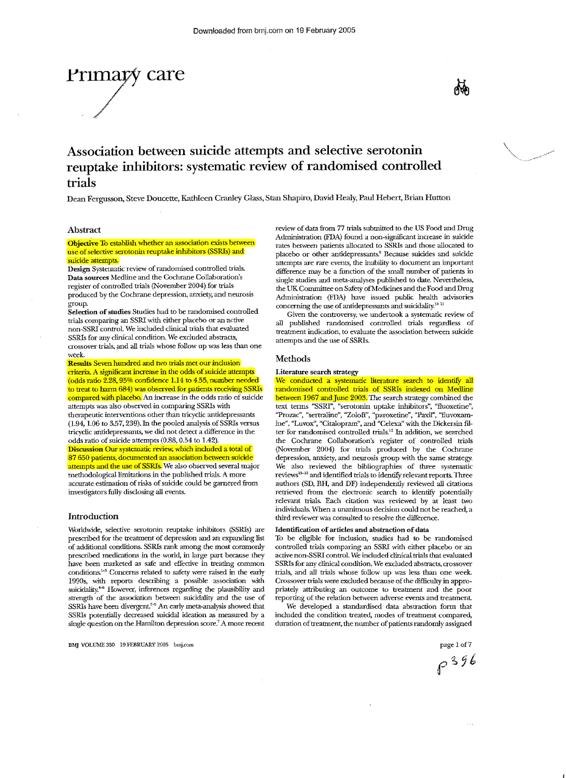Association between suicide attempts and selective serotonin reuptake inhibitors: systematic review of randomised controlled trials

Dean Fergusson, Steve Doucette, Kathleen Cranley Glass, Stan Shapiro, David Healy, Paul Hebert, Brian Hutton

### Abstract

#### Objective To establish whether an association exists between use of selective serotonin reuptake inhibitors (SSRIs) and suicide attempts.

Design Systematic review of randomised controlled trials. Data sources Medline and the Cochrane Collaboration's register of controlled trials (November 2004) for trials produced by the Cochrane depression, anxiety, and neurosis group.

Selection of studies Studies had to be randomised controlled trials comparing an SSRI with either placebo or an active non·SSRI control. We included clinical trials that evaluated SSRIs for any clinical condition. We excluded abstracts, crossover trials, and all trials whose follow up was less than one week.

Results Seven hundred and two trials met our inclusion criteria. A significant increase in the odds of suicide attempts (odds ratio  $2.28$ , 95% confidence 1.14 to 4.55, number needed to treat to harm 684) was observed for patients receiving SSRIs compared with placebo. An increase in the odds ratio of suicide attempts was also observed in comparing SSRIs with therapeutic interventions other than tricyclic antidepressants  $(1.94, 1.06$  to  $3.57, 239$ ). In the pooled analysis of SSRIs versus tricyclic antidepressants, we did not detect a difference in the odds ratio of suicide attempts (0.88, 0.54 to 1.42).

Discussion Our systematic review, which included a total of 87 650 patients, documented an association between suicide attempts and the use of SSRIs. We also observed several major methodological limitations in the published trials. A more accurate estimation of risks of suicide could be garnered from investigators fully disclosing all events.

#### Introduction

Worldwide, selective serotonin reuptake inhibitors (SSRIs) are prescribed for the treatment of depression and an expanding list of additional conditions. SSRIs rank among the most commonly prescribed medications in the world, in large part because they have been marketed as safe and effective in treating common conditions.<sup>1-3</sup> Concerns related to safety were raised in the early 1990s, with reports describing a possible association with suicidality.<sup>4-6</sup> However, inferences regarding the plausibility and strength of the association between suicidality and the use of SSRIs have been divergent.<sup>7-9</sup> An early meta-analysis showed that SSRIs potentially decreased suicidal ideation as measured by a single question on the Hamilton depression score.<sup>7</sup> A more recent

BMJ VOLUME 330 19 FEBRUARY 2005 bmj.com page 1 of 7

review of data from 77 trials submitted to the US Food and Drug Administration (FDA) found a non-significant increase in suicide rates between patients allocated to SSRIs and those allocated to placebo or other antidepressants.' Because suicides and suicide attempts are rare events, the inability to document an important difference may be a function of the small number of patients in singie studies and meta-analyses published to date. Nevertheless, the UK Committee on Safety of Medicines and the Food and Drug Administration .(FDA) have issued public health advisories concerning the use of antidepressants and suicidality.<sup>10 11</sup>

Given the controversy, we undertook a systematic review of all published randomised controlled trials regardless of treatment indication, to evaluate the association between suicide attempts and the use of SSRIs.

#### Methods

# Literature search strategy

We conducted a systematic literature search to identify all randomised controlled trials of SSRIs indexed on Medline between 1967 and June 2003. The search strategy combined the text terms "SSRI", "serotonin uptake inhibitors", "fluoxetine", ''Prozac'', "sertraline", "Zoloft", "paroxetine", "Paxil", "fluvoxamine", "Luvox", "Citalopram", and "Celexa" with the Dickersin filter for randomised controlled trials.<sup>12</sup> In addition, we searched the Cochrane Collaboration's register of controlled trials (November 2004) for trials produced by the Cochrane depression, anxiety, and neurosis group with the same strategy. We also reviewed the bibliographies of three systematic reviews<sup>13-15</sup> and identified trials to identify relevant reports. Three authors (SD, BH, and DF) independently reviewed all citations retrieved from the electronic search to identify potentially relevant trials. Each citation was reviewed by at least two individuals. When a unanimous decision could not be reached, a third reviewer was consulted to resolve the difference.

#### Identification of articles and abstraction of data

To be eligible for inclusion, studies had to be randomised controlled trials comparing an SSRI with either placebo or an active non-SSRI controL We included clinical trials that evaluated SSRIs for any clinical condition. We excluded abstracts, crossover trials, and all trials whose follow up was less than one week. Crossover trials were excluded because of the difficulty in appropriately attributing an outcome to treatment and the poor reporting of the relation between adverse events and treatment.

We developed a standardised data abstraction fonn that included the condition treated, modes of treatment compared, duration of treatment, the number of patients randomly assigned

 $e^{396}$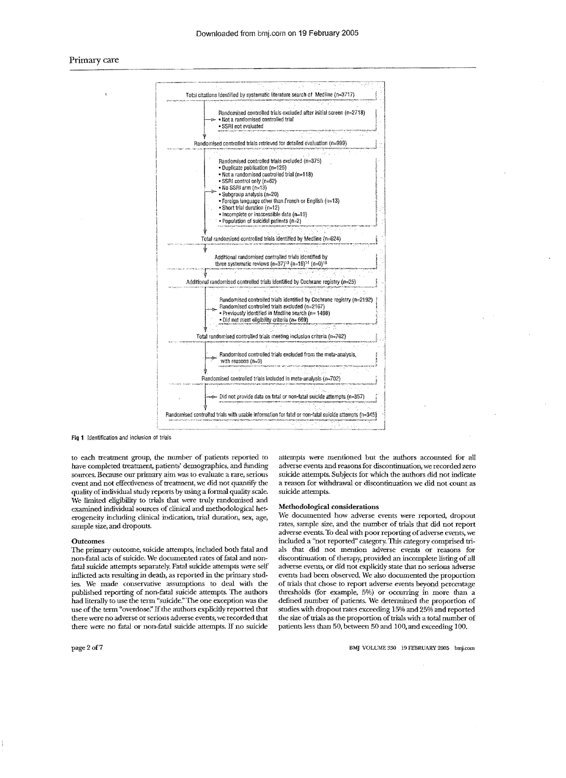

Fig 1 Identification and inclusion of trials

to each treatment group, the number of patients reported to have completed treatment, patients' demographics, and fimding sources. Because our primary aim was to evaluate a rare, serious event and not effectiveness of treatment, we did not quantify the quality of individual study reports by using a formal quality scale. We limited eligibility to trials that were truly randomised and examined individual sources of clinical and methodological heterogeneity including clinical indication, trial duration, sex, age, sample size, and dropouts.

#### **Outcomes**

'The primary outcome, suicide attempts, included both fatal and non-fatal acts of suicide. We documented rates of fatal and nonfatal suicide attempts separately. Fatal suicide attempts were self inflicted acts resulting in death, as reported in the primary studies. We made conservative assumptions to deal with the published reporting of non-fatal suicide attempts. The authors had literally to use the tenn "suicide."The one exception was the use of the term "overdose." If the authors explicitly reported that there were no adverse orserious adverse events, we recorded that there were no fatal or non-fatal suicide attempts. If no suicide

page2of7

attempts were mentioned but the authors accounted for all adverse events and reasons for discontinuation, we recorded zero suicide attempts. Subjects for which the authors did not indicate a reason for withdrawal or discontinuation we did not count as suicide attempts.

#### Methodological considerations

We documented how adverse events were reported, dropout rates, sample size, and the number of trials that did not report adverse events. To deal with poor reporting of adverse events, we included a "not reported" category. This category comprised trials that did not mention adverse events or reasons for discontinuation of therapy, provided an incomplete listing of all adverse events, or did not explicitly state that no serious adverse events had been observed We also documented the proportion of trials that chose to report adverse events beyond percentage thresholds (for example, 5%) or occurring in more than a defined number of patients. We determined the proportion of studies with dropout rates exceeding 15% and 25% and reported the size of trials as the proportion of trials with a total number of patients less than 50, between 50 and 100, and exceeding 100.

BMJ VOLUME 330 19 FEBRUARY 2005 bmj.com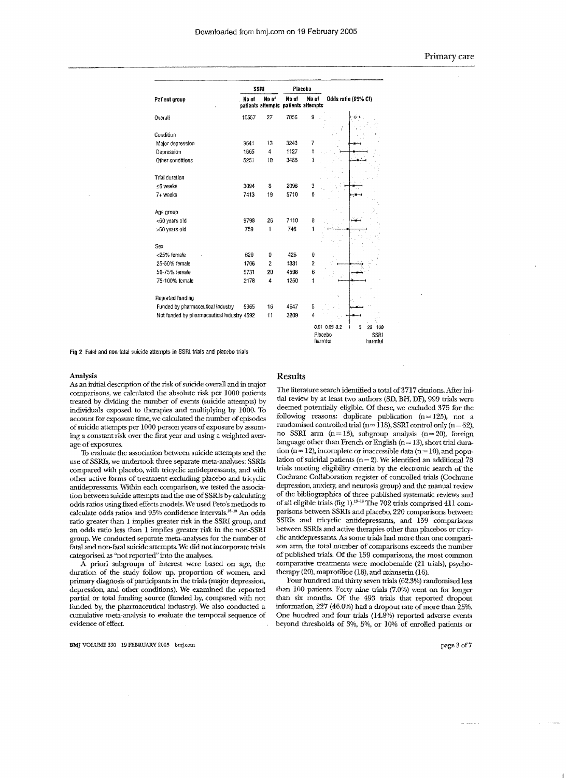|                                            |       | SSRI                                         |       | Placebo            |                                      |  |  |
|--------------------------------------------|-------|----------------------------------------------|-------|--------------------|--------------------------------------|--|--|
| Patient group                              | No of | No of<br>patients attempts patients attempts | No of | No of              | Odds ratio (95% CI)                  |  |  |
| Overall                                    | 10557 | 27                                           | 7856  | 9                  |                                      |  |  |
| Condition                                  |       |                                              |       |                    |                                      |  |  |
| Major depression                           | 3641  | 13                                           | 3243  | 7                  |                                      |  |  |
| Depression                                 | 1665  | 4                                            | 1127  | i                  |                                      |  |  |
| Other conditions                           | 5251  | 10                                           | 3486  | 1                  |                                      |  |  |
|                                            |       |                                              |       |                    |                                      |  |  |
| Trial duration                             |       |                                              |       |                    |                                      |  |  |
| ≤6 weeks                                   | 3094  | 8                                            | 2096  | 3                  |                                      |  |  |
| 7+ weeks                                   | 7413  | 19                                           | 5710  | 6                  |                                      |  |  |
| Age group                                  |       |                                              |       |                    |                                      |  |  |
| <60 years old                              | 9798  | 26                                           | 7110  | 8                  |                                      |  |  |
| >60 years old                              | 759   | 1                                            | 746   | 1                  |                                      |  |  |
|                                            |       |                                              |       |                    |                                      |  |  |
| Sex                                        |       |                                              |       |                    |                                      |  |  |
| <25% female                                | 620   | ū                                            | 426   | 0                  |                                      |  |  |
| 25-50% female                              | 1706  | 2                                            | 1331  | 2                  |                                      |  |  |
| 50-75% female                              | 5731  | 20                                           | 4598  | 6                  |                                      |  |  |
| 75-100% female                             | 2178  | 4                                            | 1250  | 1                  |                                      |  |  |
| Reported funding                           |       |                                              |       |                    |                                      |  |  |
| Funded by pharmaceutical industry          | 5965  | 16                                           | 4647  | 5                  |                                      |  |  |
| Not funded by pharmaceutical industry 4592 |       | 11                                           | 3209  | 4                  |                                      |  |  |
|                                            |       |                                              |       |                    | 0.01 0.05 0.2<br>5<br>20<br>1<br>100 |  |  |
|                                            |       |                                              |       | Placebo<br>harmful | SSRI<br>harmful                      |  |  |

Fig 2 Fatal and non-fatal suicide attempts in SSRI trials and placebo trials

#### Analysis

As an initial description of the risk of suicide overall and in major comparisons, we calculated the absolute risk per 1000 patients treated by dividing the number of events (suicide attempts) by individuals exposed to therapies and multiplying by 1000. To account for exposure time, we calculated the number of episodes of suicide attempts per 1000 person years of exposure by assuming a constant risk over the first year and using a weighted average of exposures.

To evaluate the association between suicide attempts and the use of SSRIs, we undertook three separate meta-analyses: SSRIs compared with placebo, with tricyclic antidepressants, and with other active forms of treatment excluding placebo and tricyclic antidepressants. Within each comparison, we tested the association between suicide attempts and the use of SSRIs by calculating odds ratios using fixed effects models. We used Peto's meiliods to calculate odds ratios and 95% confidence intervals.<sup>16-18</sup> An odds ratio greater than 1 implies greater risk in the SSRI group, and an odds ratio less than 1 implies greater risk in the non-SSRI group. We conducted separate meta-analyses for the number of fatal and non-fatal suicide attempts. We did notincorporate trials categorised as "not reported" into the analyses.

A priori subgroups of interest were based on age, the duration of the study follow up, proportion of women, and primary diagnosis of participants in the trials (major depression, depression, and other conditions). We examined the reported partial or total funding source (funded by, compared wiili not funded by, the pharmaceutical industry). We also conducted a cumulative meta-analysis to evaluate the temporal sequence of evidence of effect.

#### Results

The literature search identified a total of 3717 citations. After initial review by at least two authors (SD, BH, DF), 999 trials were deemed potentially eligible. Of these, we excluded 375 for the following reasons: duplicate publication  $(n = 125)$ , not a randomised controlled trial (n= 118), SSRI control only (n=62), no SSRI arm (n= 13), subgroup analysis (n= 20), forcign language other than French or English ( $n = 13$ ), short trial duration ( $n = 12$ ), incomplete or inaccessible data ( $n = 10$ ), and population of suicidal patients ( $n = 2$ ). We identified an additional 78 trials meeting eligibility criteria by the electronic search of the Cochrane Collaboration register of controlled trials (Cochrane depression, anxiety, and neurosis group) and the manual review of the bibliographies of three published systematic reviews and of all eligible trials (fig 1).<sup>13-13</sup> The 702 trials comprised 411 comparisons between SSRls and placebo, 220 comparisons between SSRIs and tricyclic antidepressants, and 159 comparisons between SSRIs and active therapies other than placebos or tricyclic antidepressants. As some trials had more than one comparison arm, the total number of comparisons exceeds the number of published trials. Of the 159 comparisons, the most common comparative treatments were modobemide (21 trials), psychotherapy (20), maprotiline (18), and mianserin (16).

Four hundred and thirty seven trials (62.3%) randomised less than 100 patients. Forty nine trials (7.0%) went on for longer than six months. Of the 493 trials that reported dropout information,  $227$  (46.0%) had a dropout rate of more than  $25\%$ . One hundred and four trials (l4.8%) reported adverse events beyond thresholds of 3%, 5%, or 10% of enrolled patients or

page 3 of 7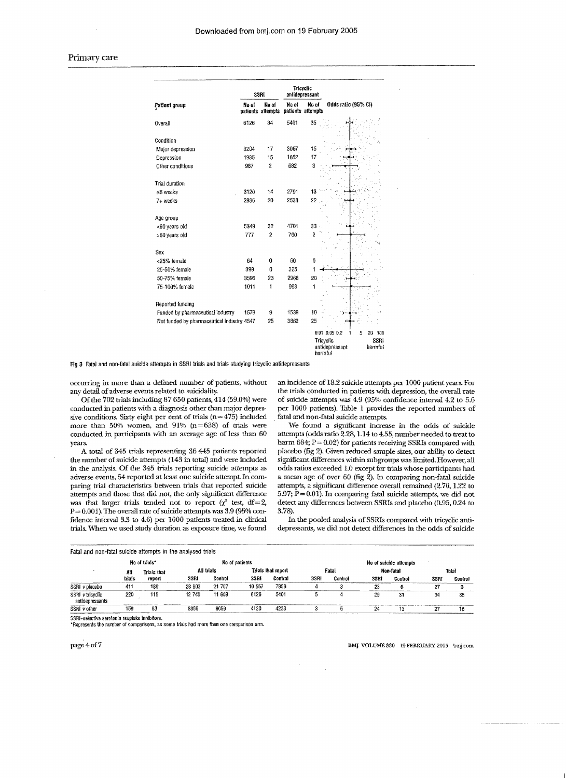|                                            |       | SSRI                       | Tricyclic | antidepressant             |                                   |  |  |
|--------------------------------------------|-------|----------------------------|-----------|----------------------------|-----------------------------------|--|--|
| Patient group                              | No of | No of<br>patients attempts | No of     | No of<br>patients attempts | Odds ratio (95% CI)               |  |  |
| Overall                                    | 6126  | 34                         | 5401      | 35                         |                                   |  |  |
| Condition                                  |       |                            |           |                            |                                   |  |  |
| Major depression                           | 3204  | 17                         | 3067      | 15                         |                                   |  |  |
| Depression                                 | 1935  | 15                         | 1652      | 17                         |                                   |  |  |
| Other conditions                           | 987   | $\overline{c}$             | 682       | 3                          |                                   |  |  |
| Trial duration                             |       |                            |           |                            |                                   |  |  |
| ≲6 weeks                                   | 3120  | 14                         | 2791      | 13                         |                                   |  |  |
| 7+ weeks                                   | 2935  | 20                         | 2538      | 22                         |                                   |  |  |
| Age group                                  |       |                            |           |                            |                                   |  |  |
| <60 years old                              | 5349  | 32                         | 4701      | 33                         |                                   |  |  |
| >60 years old                              | 777   | 2                          | 700       | $\overline{c}$             |                                   |  |  |
| Sex                                        |       |                            |           |                            |                                   |  |  |
| <25% female                                | 64    | û                          | 60        | 0                          |                                   |  |  |
| 25-50% female                              | 399   | 0                          | 325       | 1                          |                                   |  |  |
| 50-75% female                              | 3596  | 23                         | 2968      | 20                         |                                   |  |  |
| 75-100% female                             | 1011  | 1                          | 993       | 1                          |                                   |  |  |
| Reported funding                           |       |                            |           |                            |                                   |  |  |
| Funded by pharmaceutical industry          | 1579  | 9                          | 1539      | 10                         |                                   |  |  |
| Not funded by pharmaceutical industry 4547 |       | 25                         | 3862      | 25                         |                                   |  |  |
|                                            |       |                            |           |                            | 0.01 0.05 0.2<br>5<br>20<br>100   |  |  |
|                                            |       |                            |           | Tricyclic<br>harmful       | SSRI<br>antidepressant<br>harmful |  |  |

Fig 3 Fatal and non-fatal suicide attempts in SSRI trials and trials studying tricyclic antidepressants

occurring in more than a defined number of patients, without an incidence of 18.2 suicide attempts per 1000 patient years. For the trials conducted in patients with depression, the overall rate

sive conditions. Sixty eight per cent of trials (n=  $475$ ) included fatal and non-fatal suicide attempts.<br>more than 50% women, and 91% (n=638) of trials were We found a significant increase in the odds of suicide more than 50% women, and 91%  $(n=638)$  of trials were conducted in participants with an average age of less than 60

the number of suicide attempts (143 in total) and were included significant differences within subgroups was limited. However, all in the analysis. Of the 345 trials reporting suicide attempts as odds ratios exceeded 1.0 e in the analysis. Of the 345 trials reporting suicide attempts as odds ratios exceeded 1.0 except for trials whose participants had adverse events, 64 reported at least one suicide attempt. In com- a mean age of over 60 (fi paring trial characteristics between trials that reported suicide attempts and those that did not, the only significant difference attempts and those that did not, the only significant difference 5.97;  $\hat{P} = 0.01$ ). In comparing fatal suicide attempts, we did not was that larger trials tended not to report ( $\chi^2$  test, df=2, detect any differences  $P = 0.001$ ). The overall rate of suicide attempts was 3.9 (95% con-3.78).<br>fidence interval 3.3 to 4.6) per 1000 patients treated in clinical In the pooled analysis of SSRIs compared with tricyclic antifidence interval 3.3 to 4.6) per 1000 patients treated in clinical trials. When we used study duration as exposure time, we found

detail of adverse events related to suicidality. the trials conducted in patients with depression, the overall rate<br>Of the 702 trials including 87 650 patients, 414 (59.0%) were of suicide attempts was 4.9 (95% confidence Ofthe 702 trials including 87 650 patients, 414 (59.0%) were of suicide attempts was 4.9 (95% confidence interval 4.2 to 5.6 per 1000 patients). Table 1 provides the reported numbers of

attempts (odds ratio 2.28, 1.14 to 4.55, number needed to treat to years.<br>A total of 345 trials representing 36 445 patients reported placebo (fig 2). Given reduced sample sizes, our ability to detect A total of 345 trials representing 36 445 patients reported placebo (fig 2). Given reduc A total of 345 trials representing 36 445 patients reported placebo (fig 2). Given reduced sample sizes, our ability to detect the number of suicide attempts (143 in total) and were included significant differences within a mean age of over 60 (fig 2). In comparing non-fatal suicide attempts, a significant difference overall remained  $(2.70, 1.22)$  to detect any differences between SSRIs and placebo (0.95, 0.24 to 3.78).

depressants, we did not detect differences in the odds of suicide

| Fatal and non-fatal suicide attempts in the analysed trials |               |             |        |                |        |                    |      |                        |      |           |      |         |  |  |  |
|-------------------------------------------------------------|---------------|-------------|--------|----------------|--------|--------------------|------|------------------------|------|-----------|------|---------|--|--|--|
|                                                             | No of trials* |             |        | No of patients |        |                    |      | No of suicide attempts |      |           |      |         |  |  |  |
|                                                             | All           | Trials that |        | All trials     |        | Trials that report |      | Fatal                  |      | Non-fatal |      | Total   |  |  |  |
|                                                             | trials        | revort      | SSRI   | Control        | SSRI   | Control            | SSRI | Control                | SSRI | Control   | SSRI | Control |  |  |  |
| SSRI v placebo                                              | 411           | 189         | 28 803 | 21 767         | 10 557 | 7856               |      |                        | 29   |           | 27   |         |  |  |  |
| SSRI v tricvelic<br>antidepressants                         | 220           | 115         | 12 740 | 11 609         | 6126   | 5401               |      |                        | 29   | 31        | 34   | 35      |  |  |  |
| SSRI v other                                                | 159           | 83          | 8856   | 9059           | 4130   | 4233               |      |                        | 24   | 13        | 27   | 18      |  |  |  |

SSRI=selective serotonin reuptake inhibitors.

\*Represents the number of comparisons, as some trials had more than one comparison arm.

#### page 4 of 7 Bay VOLUME 330 l9 FEBRUARY 2005 bujicom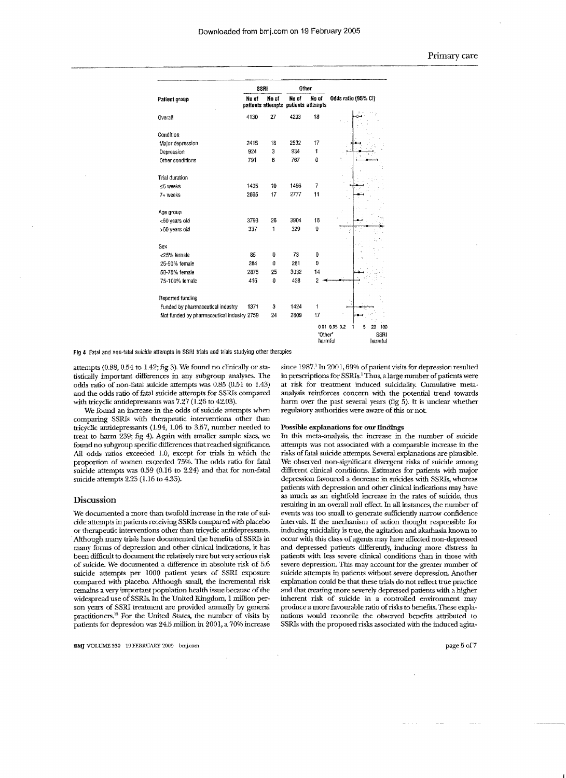|                                            |       | SSRI  |       | Other                                        | Odds ratio (95% CI)                  |  |  |
|--------------------------------------------|-------|-------|-------|----------------------------------------------|--------------------------------------|--|--|
| Patient proup                              | No of | No of | No of | Nn of<br>patients attempts patients attempts |                                      |  |  |
| Overall                                    | 4130  | 27    | 4233  | 18                                           |                                      |  |  |
| Condition                                  |       |       |       |                                              |                                      |  |  |
| Major depression                           | 2415  | 18    | 2532  | 17                                           |                                      |  |  |
| Depression                                 | 924   | 3     | 934   | 1                                            |                                      |  |  |
| Other conditions                           | 791   | 6     | 767   | 0                                            |                                      |  |  |
| Trial duration                             |       |       |       |                                              |                                      |  |  |
| ≤6 weeks                                   | 1435  | 10    | 1456  | 7                                            |                                      |  |  |
| 7+ weeks                                   | 2695  | 17    | 2777  | 11                                           |                                      |  |  |
| Age group                                  |       |       |       |                                              |                                      |  |  |
| <60 years old                              | 3793  | 26    | 3904  | 18                                           |                                      |  |  |
| >60 years old                              | 337   | 1     | 329   | 0                                            |                                      |  |  |
| Sex                                        |       |       |       |                                              |                                      |  |  |
| <25% female                                | 85    | 0     | 73    | 0                                            |                                      |  |  |
| 25-50% female                              | 284   | 0     | 281   | 0                                            |                                      |  |  |
| 50-75% female                              | 2875  | 25    | 3032  | 14                                           |                                      |  |  |
| 75-100% female                             | 415   | 0     | 428   | $\overline{2}$                               |                                      |  |  |
| Reported funding                           |       |       |       |                                              |                                      |  |  |
| Funded by pharmaceutical industry          | 1371  | 3     | 1424  | $\ddagger$                                   |                                      |  |  |
| Not funded by pharmaceutical industry 2759 |       | 24    | 2809  | 17                                           |                                      |  |  |
|                                            |       |       |       |                                              | 0.01 0.05 0.2<br>100<br>5<br>20<br>i |  |  |
|                                            |       |       |       | "Other"<br>harmful                           | <b>SSRI</b><br>harmful               |  |  |

Fig 4 Fatal and non-fatal suicide attempts in SSRI trials and trials studying other therapies

attempts (0.88, 0.54 to 1.42; fig 3). We found no clinically or statistically important differences in any subgroup analyses. The odds ratio of non-fatal suicide attempts was 0.85 (0.51 to 1.43) and the odds ratio of fatal suicide attempts for SSRIs compared with tricyclic antidepressants was 7.27 (1.26 to 42.03).

We found an increase in the odds of suicide attempts when comparing SSRIs with therapeutic interventions other than tricyclic antidepressants (1.94, 1.06 to 3.57, number needed to treat to harm 239; fig 4). Again with smaller sample sizes, we found no subgroup specific differences that reached significance. All odds ratios exceeded 1.0, except for trials in which the proportion of women exceeded 75%. The odds ratio for fatal suicide attempts was  $0.59$  ( $0.16$  to  $2.24$ ) and that for non-fatal suicide attempts 2.25 (1.16 to 4.35).

#### Discussion

We documented a more than twofold increase in the rate of suicide attempts in patients receiving SSRIs compared with placebo or therapeutic interventions other than tricyclic antidepressants. Although many trials have documented the benefits of SSRIs in many forms of depression and other clinical indications, it has been difficult to document the relatively rare butvery serious risk of suicide. We documented a difference in absolute risk of  $5.6$ suicide attempts per 1000 patient years of SSRI exposure compared with placebo. Although small, the incremental risk remains a very important population health issue because of the widespread use of SSRIs. In the United Kingdom, 1 million person years of SSRI treatment are provided annually by general practitioners.<sup>13</sup> For the United States, the number of visits by patients for depression was 24.5 million in 2001, a 70% increase

BAg VOLUME 330 19 FEBRUARY 2005 bmJcom

since 1987.<sup>1</sup> In 2001, 69% of patient visits for depression resulted in prescriptions for SSRIs.<sup>1</sup> Thus, a large number of patients were at risk for treatment induced suicidality. Cumulative metaanalysis reinforces concern with the potential trend towards harm over the past several years (fig 5). It is unclear whether regulatory authorities were aware of this or not.

#### Possible explanations for our findings

In this meta-analysis, the increase in the number of suicide attempts was not associated with a comparable increase in the risks offatal suicide attempts. Several explanations are plausible. We observed non-significant divergent risks of suicide among different clinical conditions. Estimates for patients with major depression favoured a decrease in suicides with SSRIs, whereas patients with depression and other clinical indications may have as much as an eightfold increase in the rates of suicide, thus resulting in an overall null effect In all instances, the number of events was too small to generate sufficiently narrow confidence intervals. If the mechanism of action thought responsible for inducing suicidality is true, the agitation and akathasia known to occur with this class of agents may have affected non-depressed and depressed patients differently, inducing more distress in patients with less severe clinical conditions than in those with severe depression. This may account for the greater number of suicide attempts in patients without severe depression. Another explanation could be that these trials do not reflect true practice and that treating more severely depressed patients with a higher inherent risk of suicide in a controlled environment may produce a more favourable ratio of risks to benefits. These explanations would reconcile the observed benefits attributed to SSRLs with the proposed risks associated with the induced agita-

page 5 of 7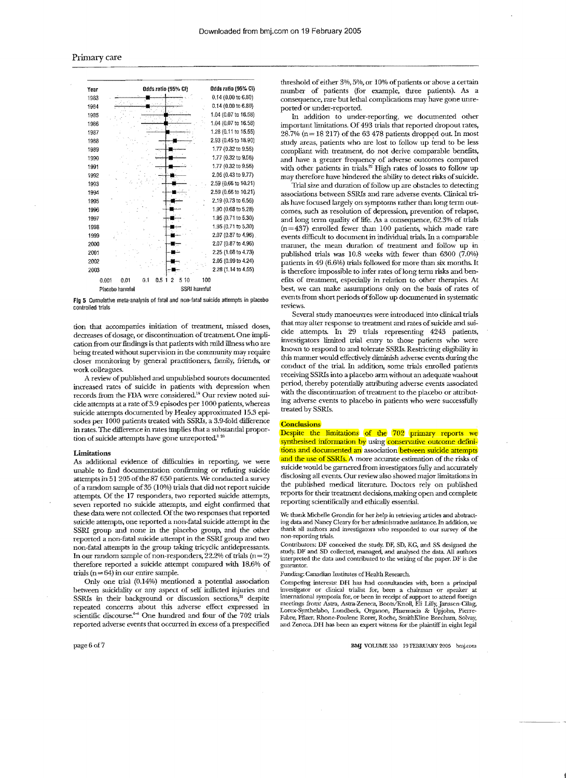

Fig 5 Cumulative meta-analysis of fatal and non-fatal suicide attempts in placebo controlled trials

tion that accompanies initiation of treatment, missed doses, decreases of dosage, or discontinuation of treatment. One implication from our findings is that patients with mild illness who are being treated without supervision in the community may require closer monitoring by general practitioners, family, friends, or work colleagues.

A review of published and unpublished sources documented increased rates of suicide in patients with depression when records from the FDA were considered.<sup>19</sup> Our review noted suicide attempts at a rate of  $3.9$  episodes per  $1000$  patients, whereas suicide attempts documented by Healey approximated 15.3 episodes per 1000 patients treated with SSRIs, a 3.9-fold difference in rates. The difference in rates implies that a substantial proportion of suicide attempts have gone unreported.<sup>8 26</sup>

#### Limitations

As additional evidence of difficulties in reporting, we were unable to find documentation confirming or refuting suicide attempts in 51 205 of the 87 650 patients. We conducted a survey of a random sample of35 (10%) trials that did not report suicide attempts. Of the 17 responders, two reported suicide attempts, seven reported no suicide attempts, and eight confinned that these data were not collected. Of the two responses that reported suicide attempts, one reported a non-fatal suicide attempt in the *SSRl* group and none in the placebo group, and the other reported a non-fatal suicide attempt in the SSRI group and two non-fatal attempts in the group taking tricyclic antidepressants. In our random sample of non-responders,  $22.2\%$  of trials (n=2) therefore reported a suicide attempt compared with 18.6% of trials  $(n=64)$  in our entire sample.

Only one trial (0.14%) mentioned a potential association between suicidality or any aspect of self inllicted injuries and SSRIs in their background or discussion sections,<sup>21</sup> despite concerns about this adverse effect expressed in discourse."'" One hundred and four of the 702 trials reported adverse events that occurred in excess of a prespecified

page6of7

threshold of either 3%, 5%, or 10% of patients or above a certain number of patients (for example, three patients). As a consequence, rare but lethal complications may have gone unreported or under-reported.

In addition to under-reporting, we documented other important limitations. Of 493 ttials that reported dropout rates,  $28.7\%$  (n = 18 217) of the 63 478 patients dropped out. In most study areas, patients who are lost to follow up tend to be less compliant with treatment, do not derive comparable benefits, and have a greater frequency of adverse outcomes compared with other patients in trials.<sup>22</sup> High rates of losses to follow up may therefore have hindered the ability to detect risks of suicide.

Trial size and duration offollow are obstacles to detecting associations between SSRIs and rare events. Clinical trials have focused largely on symptoms rather than long term outcomes, such as resolution of depression, prevention of relapse, and long term quality of life. As a consequence, 62.3% of trials  $(n=437)$  enrolled fewer than 100 patients, which made rare events difficult to document in individual trials. In a comparable manner, the mean duration of treatment and follow up in published trials was 10.8 weeks with fewer than 6300 (7.0%) patients in  $49(6.6%)$  trials followed for more than six months. It is therefore impossible to infer rates of long term risks and benefits of treatment, especially in relation to other therapies. At best, we can make assumptions only on the basis of rates of events from short periods offollow up documented in systematic reviews.

Several study manoeuvres were introduced into clinical trials that may alter response to treatment and rates of suicide and suicide attempts. In 29 ttials representing 4243 patients, investigators limited trial entry to those patients who were known to respond to and tolerate SSRIs. Restricting eligibility in this manner would effectively diminish adverse events dming the conduct of the trial In addition, some trials enrolled patients receiving SSRIs into a placebo arm without an adequate washout period, thereby potentially attributing adverse events associated with the discontinuation of treatment to the placebo or attributing adverse events to placebo in patients who were successfully treated by SSRIs.

#### **Conclusions**

Despite the limitations of the 702 primary reports we synthesised information by using conservative outcome definitions and documented an association between suicide attempts and the use of SSRIs. A more accurate estimation of the risks of suicide would be garnered from investigators fully and accurately disclosing all events. Our review also showed major limitations in the published medical literature. Doctors rely on published reports for theit treatment decisions, making open and complete reporting scientifically and ethically essential.

We thank Michelle Grondin for her help in retrieving articles and abstracting data and Nancy Cleary fOT her administrative assistance In addition, we thank all authors and investigators who responded to our survey of the non-reporting trials.

Contributors: DF conceived the study. DF, SD, KG, and SS designed the study. DF and SD collected, and analysed the data. All authors interpreted the data and contributed to the writing of the paper. DF is the guarantor.

Funding: Canadian Institutes of Health Research.

Competing interests: DB has had consultancies with, been a principal investigator or clinical trialist for, been a chairman or speaker at international symposia for, or been in receipt of support to attend foreign meetings from: Astra, Astra-Zeneca, Boots/Knoll, Eli Lilly, Janssen-Cilag,<br>Lorex-Synthelabo, Lundbeck, Organon, Pharmacia & Upjohn, Pierre-Fabre, Pfizer, Rhone-Poulenc Rorer, SmithKJine Beecham, Solvay, and Zeneca. DH has been an expert witness for the plaintiff in eight legal